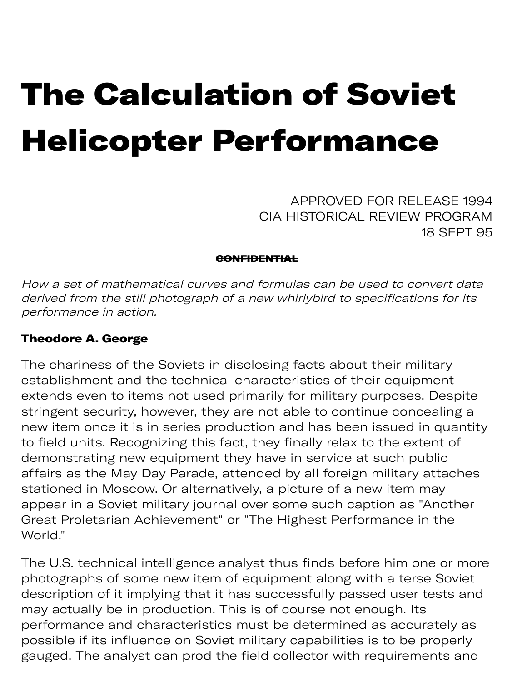# The Calculation of Soviet Helicopter Performance

APPROVED FOR RELEASE 1994 CIA HISTORICAL REVIEW PROGRAM 18 SEPT 95

### **CONFIDENTIAL**

How a set of mathematical curves and formulas can be used to convert data derived from the still photograph of a new whirlybird to specifications for its performance in action.

### Theodore A. George

The chariness of the Soviets in disclosing facts about their military establishment and the technical characteristics of their equipment extends even to items not used primarily for military purposes. Despite stringent security, however, they are not able to continue concealing a new item once it is in series production and has been issued in quantity to field units. Recognizing this fact, they finally relax to the extent of demonstrating new equipment they have in service at such public affairs as the May Day Parade, attended by all foreign military attaches stationed in Moscow. Or alternatively, a picture of a new item may appear in a Soviet military journal over some such caption as "Another Great Proletarian Achievement" or "The Highest Performance in the World."

The U.S. technical intelligence analyst thus finds before him one or more photographs of some new item of equipment along with a terse Soviet description of it implying that it has successfully passed user tests and may actually be in production. This is of course not enough. Its performance and characteristics must be determined as accurately as possible if its influence on Soviet military capabilities is to be properly gauged. The analyst can prod the field collector with requirements and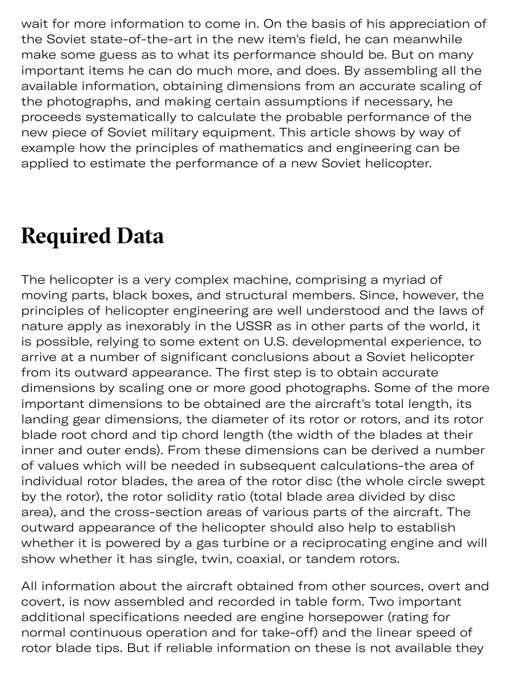wait for more information to come in. On the basis of his appreciation of the Soviet state-of-the-art in the new item's field, he can meanwhile make some guess as to what its performance should be. But on many important items he can do much more, and does. By assembling all the available information, obtaining dimensions from an accurate scaling of the photographs, and making certain assumptions if necessary, he proceeds systematically to calculate the probable performance of the new piece of Soviet military equipment. This article shows by way of example how the principles of mathematics and engineering can be applied to estimate the performance of a new Soviet helicopter.

## **Required Data**

The helicopter is a very complex machine, comprising a myriad of moving parts, black boxes, and structural members. Since, however, the principles of helicopter engineering are well understood and the laws of nature apply as inexorably in the USSR as in other parts of the world, it is possible, relying to some extent on U.S. developmental experience, to arrive at a number of significant conclusions about a Soviet helicopter from its outward appearance. The first step is to obtain accurate dimensions by scaling one or more good photographs. Some of the more important dimensions to be obtained are the aircraft's total length, its landing gear dimensions, the diameter of its rotor or rotors, and its rotor blade root chord and tip chord length (the width of the blades at their inner and outer ends). From these dimensions can be derived a number of values which will be needed in subsequent calculations-the area of individual rotor blades, the area of the rotor disc (the whole circle swept by the rotor), the rotor solidity ratio (total blade area divided by disc area), and the cross-section areas of various parts of the aircraft. The outward appearance of the helicopter should also help to establish whether it is powered by a gas turbine or a reciprocating engine and will show whether it has single, twin, coaxial, or tandem rotors.

All information about the aircraft obtained from other sources, overt and covert, is now assembled and recorded in table form. Two important additional specifications needed are engine horsepower (rating for normal continuous operation and for take-off) and the linear speed of rotor blade tips. But if reliable information on these is not available they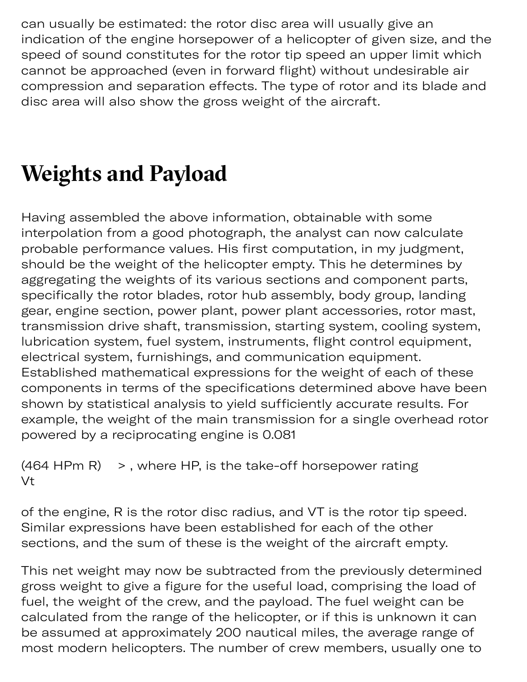can usually be estimated: the rotor disc area will usually give an indication of the engine horsepower of a helicopter of given size, and the speed of sound constitutes for the rotor tip speed an upper limit which cannot be approached (even in forward flight) without undesirable air compression and separation effects. The type of rotor and its blade and disc area will also show the gross weight of the aircraft.

# **Weights and Payload**

Having assembled the above information, obtainable with some interpolation from a good photograph, the analyst can now calculate probable performance values. His first computation, in my judgment, should be the weight of the helicopter empty. This he determines by aggregating the weights of its various sections and component parts, specifically the rotor blades, rotor hub assembly, body group, landing gear, engine section, power plant, power plant accessories, rotor mast, transmission drive shaft, transmission, starting system, cooling system, lubrication system, fuel system, instruments, flight control equipment, electrical system, furnishings, and communication equipment. Established mathematical expressions for the weight of each of these components in terms of the specifications determined above have been shown by statistical analysis to yield sufficiently accurate results. For example, the weight of the main transmission for a single overhead rotor powered by a reciprocating engine is 0.081

```
(464 HPm R) \rightarrow, where HP, is the take-off horsepower rating
Vt
```
of the engine, R is the rotor disc radius, and VT is the rotor tip speed. Similar expressions have been established for each of the other sections, and the sum of these is the weight of the aircraft empty.

This net weight may now be subtracted from the previously determined gross weight to give a figure for the useful load, comprising the load of fuel, the weight of the crew, and the payload. The fuel weight can be calculated from the range of the helicopter, or if this is unknown it can be assumed at approximately 200 nautical miles, the average range of most modern helicopters. The number of crew members, usually one to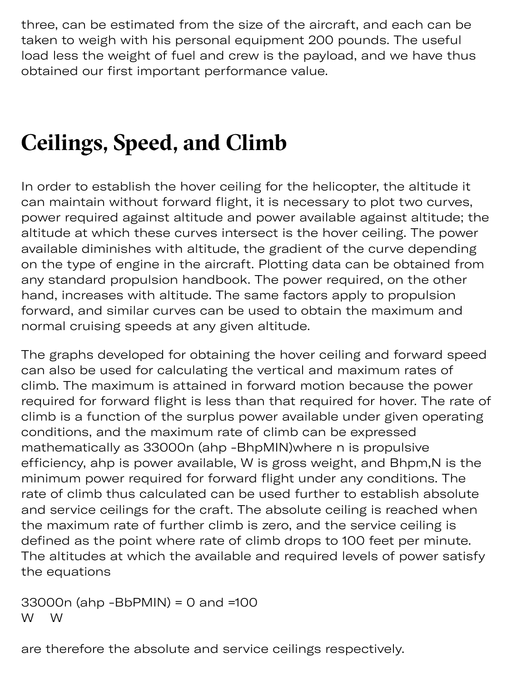three, can be estimated from the size of the aircraft, and each can be taken to weigh with his personal equipment 200 pounds. The useful load less the weight of fuel and crew is the payload, and we have thus obtained our first important performance value.

 $\mathcal{O}_\mathcal{P}$  , using the set of the set of the set of the set of the set of the set of the set of the set of the set of the set of the set of the set of the set of the set of the set of the set of the set of the set of

## **Ceilings, Speed, and Climb**

In order to establish the hover ceiling for the helicopter, the altitude it can maintain without forward flight, it is necessary to plot two curves, power required against altitude and power available against altitude; the altitude at which these curves intersect is the hover ceiling. The power available diminishes with altitude, the gradient of the curve depending on the type of engine in the aircraft. Plotting data can be obtained from any standard propulsion handbook. The power required, on the other hand, increases with altitude. The same factors apply to propulsion forward, and similar curves can be used to obtain the maximum and normal cruising speeds at any given altitude.

The graphs developed for obtaining the hover ceiling and forward speed can also be used for calculating the vertical and maximum rates of climb. The maximum is attained in forward motion because the power required for forward flight is less than that required for hover. The rate of climb is a function of the surplus power available under given operating conditions, and the maximum rate of climb can be expressed mathematically as 33000n (ahp -BhpMIN)where n is propulsive efficiency, ahp is power available, W is gross weight, and Bhpm,N is the minimum power required for forward flight under any conditions. The rate of climb thus calculated can be used further to establish absolute and service ceilings for the craft. The absolute ceiling is reached when the maximum rate of further climb is zero, and the service ceiling is defined as the point where rate of climb drops to 100 feet per minute. The altitudes at which the available and required levels of power satisfy the equations

33000n (ahp -BbPMIN) = 0 and =100 W W

are therefore the absolute and service ceilings respectively.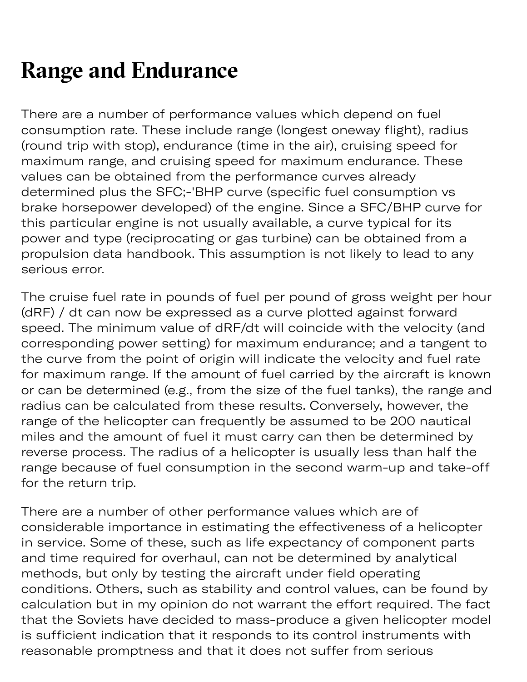# **Range and Endurance**

There are a number of performance values which depend on fuel consumption rate. These include range (longest oneway flight), radius (round trip with stop), endurance (time in the air), cruising speed for maximum range, and cruising speed for maximum endurance. These values can be obtained from the performance curves already determined plus the SFC;-'BHP curve (specific fuel consumption vs brake horsepower developed) of the engine. Since a SFC/BHP curve for this particular engine is not usually available, a curve typical for its power and type (reciprocating or gas turbine) can be obtained from a propulsion data handbook. This assumption is not likely to lead to any serious error.

The cruise fuel rate in pounds of fuel per pound of gross weight per hour (dRF) / dt can now be expressed as a curve plotted against forward speed. The minimum value of dRF/dt will coincide with the velocity (and corresponding power setting) for maximum endurance; and a tangent to the curve from the point of origin will indicate the velocity and fuel rate for maximum range. If the amount of fuel carried by the aircraft is known or can be determined (e.g., from the size of the fuel tanks), the range and radius can be calculated from these results. Conversely, however, the range of the helicopter can frequently be assumed to be 200 nautical miles and the amount of fuel it must carry can then be determined by reverse process. The radius of a helicopter is usually less than half the range because of fuel consumption in the second warm-up and take-off for the return trip.

There are a number of other performance values which are of considerable importance in estimating the effectiveness of a helicopter in service. Some of these, such as life expectancy of component parts and time required for overhaul, can not be determined by analytical methods, but only by testing the aircraft under field operating conditions. Others, such as stability and control values, can be found by calculation but in my opinion do not warrant the effort required. The fact that the Soviets have decided to mass-produce a given helicopter model is sufficient indication that it responds to its control instruments with reasonable promptness and that it does not suffer from serious